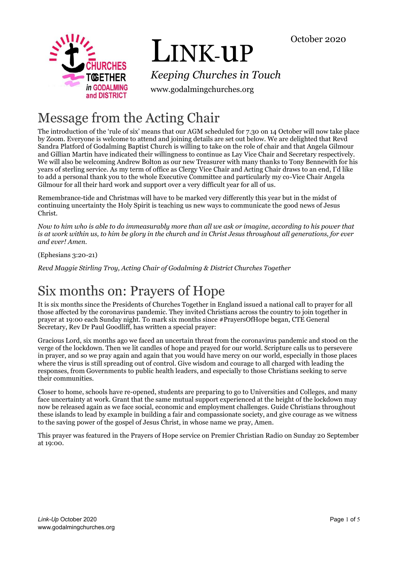

# LINK-uP

*Keeping Churches in Touch*

www.godalmingchurches.org

# Message from the Acting Chair

The introduction of the 'rule of six' means that our AGM scheduled for 7.30 on 14 October will now take place by Zoom. Everyone is welcome to attend and joining details are set out below. We are delighted that Revd Sandra Platford of Godalming Baptist Church is willing to take on the role of chair and that Angela Gilmour and Gillian Martin have indicated their willingness to continue as Lay Vice Chair and Secretary respectively. We will also be welcoming Andrew Bolton as our new Treasurer with many thanks to Tony Bennewith for his years of sterling service. As my term of office as Clergy Vice Chair and Acting Chair draws to an end, I'd like to add a personal thank you to the whole Executive Committee and particularly my co-Vice Chair Angela Gilmour for all their hard work and support over a very difficult year for all of us.

Remembrance-tide and Christmas will have to be marked very differently this year but in the midst of continuing uncertainty the Holy Spirit is teaching us new ways to communicate the good news of Jesus Christ.

*Now to him who is able to do immeasurably more than all we ask or imagine, according to his power that is at work within us, to him be glory in the church and in Christ Jesus throughout all generations, for ever and ever! Amen.* 

(Ephesians 3:20-21)

*Revd Maggie Stirling Troy, Acting Chair of Godalming & District Churches Together*

# Six months on: Prayers of Hope

It is six months since the Presidents of Churches Together in England issued a national call to prayer for all those affected by the coronavirus pandemic. They invited Christians across the country to join together in prayer at 19:00 each Sunday night. To mark six months since #PrayersOfHope began, CTE General Secretary, Rev Dr Paul Goodliff, has written a special prayer:

Gracious Lord, six months ago we faced an uncertain threat from the coronavirus pandemic and stood on the verge of the lockdown. Then we lit candles of hope and prayed for our world. Scripture calls us to persevere in prayer, and so we pray again and again that you would have mercy on our world, especially in those places where the virus is still spreading out of control. Give wisdom and courage to all charged with leading the responses, from Governments to public health leaders, and especially to those Christians seeking to serve their communities.

Closer to home, schools have re-opened, students are preparing to go to Universities and Colleges, and many face uncertainty at work. Grant that the same mutual support experienced at the height of the lockdown may now be released again as we face social, economic and employment challenges. Guide Christians throughout these islands to lead by example in building a fair and compassionate society, and give courage as we witness to the saving power of the gospel of Jesus Christ, in whose name we pray, Amen.

This prayer was featured in the Prayers of Hope service on Premier Christian Radio on Sunday 20 September at 19:00.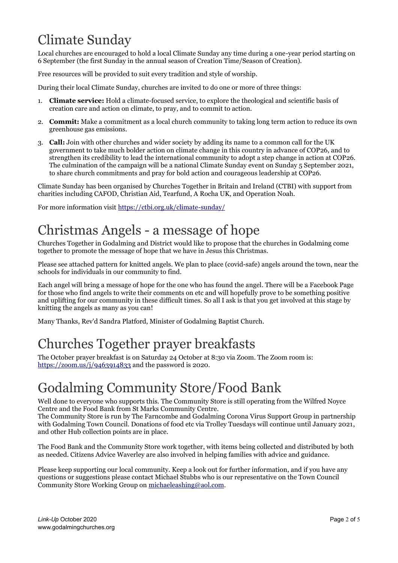# Climate Sunday

Local churches are encouraged to hold a local Climate Sunday any time during a one-year period starting on 6 September (the first Sunday in the annual season of Creation Time/Season of Creation).

Free resources will be provided to suit every tradition and style of worship.

During their local Climate Sunday, churches are invited to do one or more of three things:

- 1. **Climate service:** Hold a climate-focused service, to explore the theological and scientific basis of creation care and action on climate, to pray, and to commit to action.
- 2. **Commit:** Make a commitment as a local church community to taking long term action to reduce its own greenhouse gas emissions.
- 3. **Call:** Join with other churches and wider society by adding its name to a common call for the UK government to take much bolder action on climate change in this country in advance of COP26, and to strengthen its credibility to lead the international community to adopt a step change in action at COP26. The culmination of the campaign will be a national Climate Sunday event on Sunday 5 September 2021, to share church commitments and pray for bold action and courageous leadership at COP26.

Climate Sunday has been organised by Churches Together in Britain and Ireland (CTBI) with support from charities including CAFOD, Christian Aid, Tearfund, A Rocha UK, and Operation Noah.

For more information visit<https://ctbi.org.uk/climate-sunday/>

# Christmas Angels - a message of hope

Churches Together in Godalming and District would like to propose that the churches in Godalming come together to promote the message of hope that we have in Jesus this Christmas.

Please see attached pattern for knitted angels. We plan to place (covid-safe) angels around the town, near the schools for individuals in our community to find.

Each angel will bring a message of hope for the one who has found the angel. There will be a Facebook Page for those who find angels to write their comments on etc and will hopefully prove to be something positive and uplifting for our community in these difficult times. So all I ask is that you get involved at this stage by knitting the angels as many as you can!

Many Thanks, Rev'd Sandra Platford, Minister of Godalming Baptist Church.

# Churches Together prayer breakfasts

The October prayer breakfast is on Saturday 24 October at 8:30 via Zoom. The Zoom room is: <https://zoom.us/j/9463914833> and the password is 2020.

# Godalming Community Store/Food Bank

Well done to everyone who supports this. The Community Store is still operating from the Wilfred Noyce Centre and the Food Bank from St Marks Community Centre.

The Community Store is run by The Farncombe and Godalming Corona Virus Support Group in partnership with Godalming Town Council. Donations of food etc via Trolley Tuesdays will continue until January 2021, and other Hub collection points are in place.

The Food Bank and the Community Store work together, with items being collected and distributed by both as needed. Citizens Advice Waverley are also involved in helping families with advice and guidance.

Please keep supporting our local community. Keep a look out for further information, and if you have any questions or suggestions please contact Michael Stubbs who is our representative on the Town Council Community Store Working Group on [michaeleashing@aol.com.](mailto:michaeleashing@aol.com)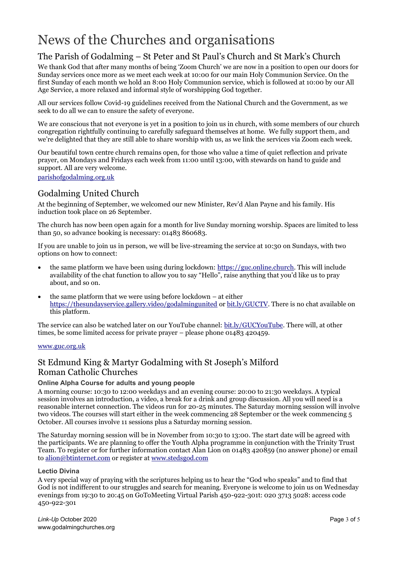# News of the Churches and organisations

## The Parish of Godalming – St Peter and St Paul's Church and St Mark's Church

We thank God that after many months of being 'Zoom Church' we are now in a position to open our doors for Sunday services once more as we meet each week at 10:00 for our main Holy Communion Service. On the first Sunday of each month we hold an 8:00 Holy Communion service, which is followed at 10:00 by our All Age Service, a more relaxed and informal style of worshipping God together.

All our services follow Covid-19 guidelines received from the National Church and the Government, as we seek to do all we can to ensure the safety of everyone.

We are conscious that not everyone is yet in a position to join us in church, with some members of our church congregation rightfully continuing to carefully safeguard themselves at home. We fully support them, and we're delighted that they are still able to share worship with us, as we link the services via Zoom each week.

Our beautiful town centre church remains open, for those who value a time of quiet reflection and private prayer, on Mondays and Fridays each week from 11:00 until 13:00, with stewards on hand to guide and support. All are very welcome.

#### [parishofgodalming.org.uk](https://parishofgodalming.org.uk/)

### Godalming United Church

At the beginning of September, we welcomed our new Minister, Rev'd Alan Payne and his family. His induction took place on 26 September.

The church has now been open again for a month for live Sunday morning worship. Spaces are limited to less than 50, so advance booking is necessary: 01483 860683.

If you are unable to join us in person, we will be live-streaming the service at 10:30 on Sundays, with two options on how to connect:

- the same platform we have been using during lockdown: [https://guc.online.church.](https://guc.online.church/) This will include availability of the chat function to allow you to say "Hello", raise anything that you'd like us to pray about, and so on.
- the same platform that we were using before lockdown at either <https://thesundayservice.gallery.video/godalmingunited> o[r bit.ly/GUCTV.](https://bit.ly/GUCTV) There is no chat available on this platform.

The service can also be watched later on our YouTube channel: [bit.ly/GUCYouTube.](https://bit.ly/GUCYouTube) There will, at other times, be some limited access for private prayer – please phone 01483 420459.

#### [www.guc.org.uk](http://www.guc.org.uk/)

### St Edmund King & Martyr Godalming with St Joseph's Milford Roman Catholic Churches

#### **Online Alpha Course for adults and young people**

A morning course: 10:30 to 12:00 weekdays and an evening course: 20:00 to 21:30 weekdays. A typical session involves an introduction, a video, a break for a drink and group discussion. All you will need is a reasonable internet connection. The videos run for 20-25 minutes. The Saturday morning session will involve two videos. The courses will start either in the week commencing 28 September or the week commencing 5 October. All courses involve 11 sessions plus a Saturday morning session.

The Saturday morning session will be in November from 10:30 to 13:00. The start date will be agreed with the participants. We are planning to offer the Youth Alpha programme in conjunction with the Trinity Trust Team. To register or for further information contact Alan Lion on 01483 420859 (no answer phone) or email to [alion@btinternet.com](mailto:alion@btinternet.com) or register at [www.stedsgod.com](https://www.stedsgod.com/)

#### **Lectio Divina**

A very special way of praying with the scriptures helping us to hear the "God who speaks" and to find that God is not indifferent to our struggles and search for meaning. Everyone is welcome to join us on Wednesday evenings from 19:30 to 20:45 on GoToMeeting Virtual Parish 450-922-301t: 020 3713 5028: access code 450-922-301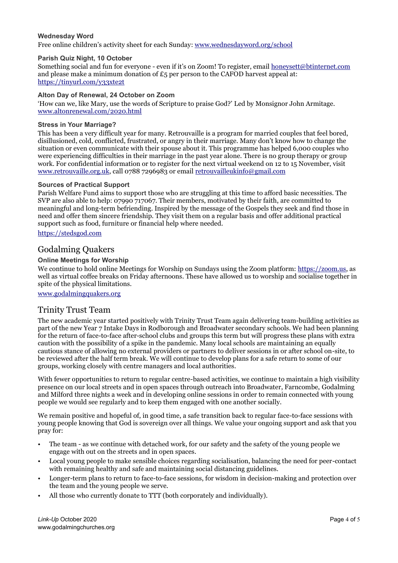#### **Wednesday Word**

Free online children's activity sheet for each Sunday[: www.wednesdayword.org/school](http://www.wednesdayword.org/school/index.htm)

#### **Parish Quiz Night, 10 October**

Something social and fun for everyone - even if it's on Zoom! To register, email [honeysett@btinternet.com](mailto:honeysett@btinternet.com) and please make a minimum donation of  $£5$  per person to the CAFOD harvest appeal at: <https://tinyurl.com/y33xte2t>

#### **Alton Day of Renewal, 24 October on Zoom**

'How can we, like Mary, use the words of Scripture to praise God?' Led by Monsignor John Armitage. [www.altonrenewal.com/2020.html](https://www.altonrenewal.com/2020.html)

#### **Stress in Your Marriage?**

This has been a very difficult year for many. Retrouvaille is a program for married couples that feel bored, disillusioned, cold, conflicted, frustrated, or angry in their marriage. Many don't know how to change the situation or even communicate with their spouse about it. This programme has helped 6,000 couples who were experiencing difficulties in their marriage in the past year alone. There is no group therapy or group work. For confidential information or to register for the next virtual weekend on 12 to 15 November, visit [www.retrouvaille.org.uk,](https://www.retrouvaille.org.uk/) call 0788 7296983 or email [retrouvailleukinfo@gmail.com](mailto:retrouvailleukinfo@gmail.com)

#### **Sources of Practical Support**

Parish Welfare Fund aims to support those who are struggling at this time to afford basic necessities. The SVP are also able to help: 07990 717067. Their members, motivated by their faith, are committed to meaningful and long-term befriending. Inspired by the message of the Gospels they seek and find those in need and offer them sincere friendship. They visit them on a regular basis and offer additional practical support such as food, furniture or financial help where needed.

[https://stedsgod.com](https://stedsgod.com/)

### Godalming Quakers

#### **Online Meetings for Worship**

We continue to hold online Meetings for Worship on Sundays using the Zoom platform[: https://zoom.us,](https://zoom.us/) as well as virtual coffee breaks on Friday afternoons. These have allowed us to worship and socialise together in spite of the physical limitations.

[www.godalmingquakers.org](http://www.godalmingquakers.org/)

### Trinity Trust Team

The new academic year started positively with Trinity Trust Team again delivering team-building activities as part of the new Year 7 Intake Days in Rodborough and Broadwater secondary schools. We had been planning for the return of face-to-face after-school clubs and groups this term but will progress these plans with extra caution with the possibility of a spike in the pandemic. Many local schools are maintaining an equally cautious stance of allowing no external providers or partners to deliver sessions in or after school on-site, to be reviewed after the half term break. We will continue to develop plans for a safe return to some of our groups, working closely with centre managers and local authorities.

With fewer opportunities to return to regular centre-based activities, we continue to maintain a high visibility presence on our local streets and in open spaces through outreach into Broadwater, Farncombe, Godalming and Milford three nights a week and in developing online sessions in order to remain connected with young people we would see regularly and to keep them engaged with one another socially.

We remain positive and hopeful of, in good time, a safe transition back to regular face-to-face sessions with young people knowing that God is sovereign over all things. We value your ongoing support and ask that you pray for:

- The team as we continue with detached work, for our safety and the safety of the young people we engage with out on the streets and in open spaces.
- Local young people to make sensible choices regarding socialisation, balancing the need for peer-contact with remaining healthy and safe and maintaining social distancing guidelines.
- Longer-term plans to return to face-to-face sessions, for wisdom in decision-making and protection over the team and the young people we serve.
- All those who currently donate to TTT (both corporately and individually).